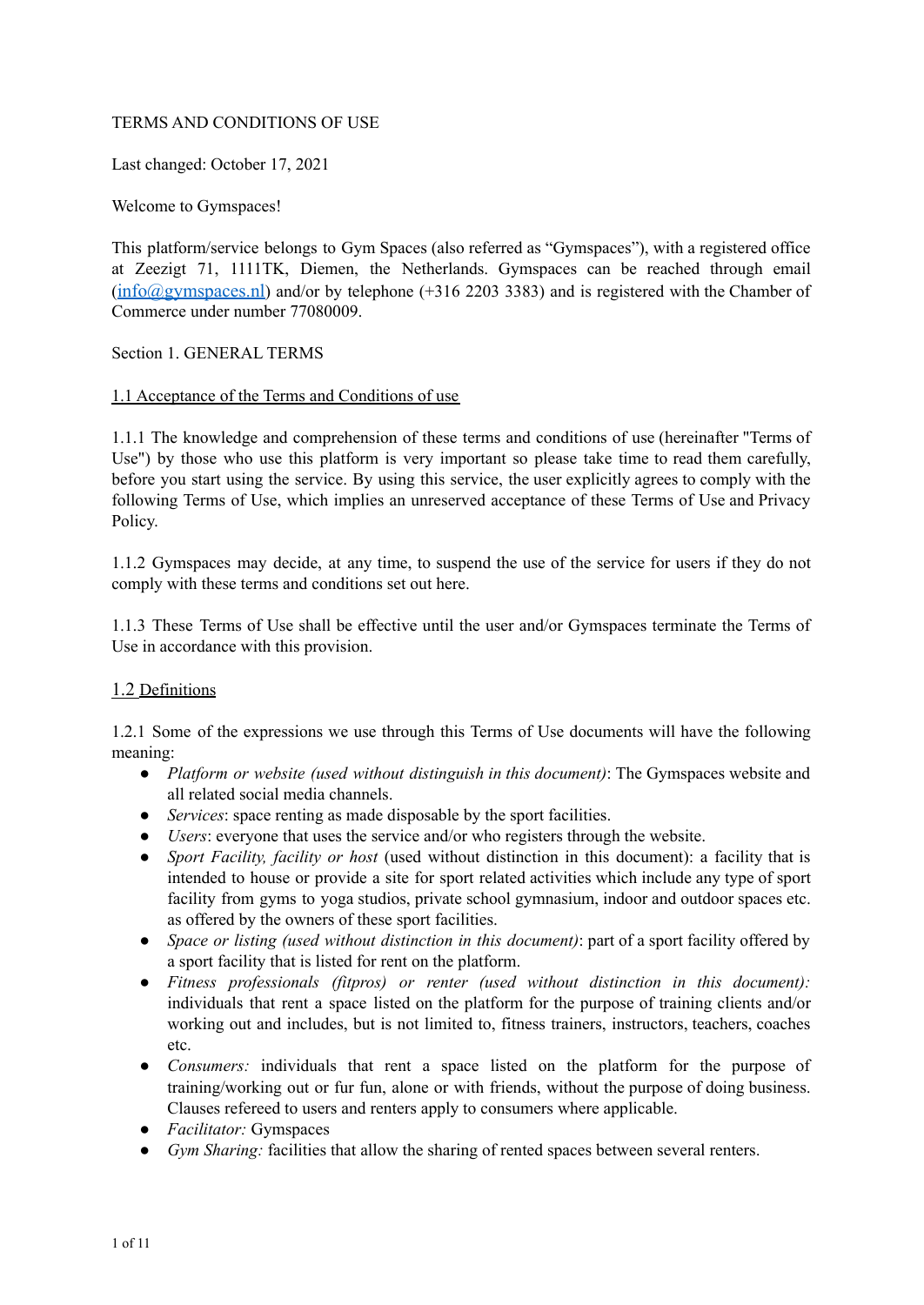### TERMS AND CONDITIONS OF USE

Last changed: October 17, 2021

Welcome to Gymspaces!

This platform/service belongs to Gym Spaces (also referred as "Gymspaces"), with a registered office at Zeezigt 71, 1111TK, Diemen, the Netherlands. Gymspaces can be reached through email ([info@gymspaces.nl](mailto:info@gymspaces.nl)) and/or by telephone (+316 2203 3383) and is registered with the Chamber of Commerce under number 77080009.

Section 1. GENERAL TERMS

### 1.1 Acceptance of the Terms and Conditions of use

1.1.1 The knowledge and comprehension of these terms and conditions of use (hereinafter "Terms of Use") by those who use this platform is very important so please take time to read them carefully, before you start using the service. By using this service, the user explicitly agrees to comply with the following Terms of Use, which implies an unreserved acceptance of these Terms of Use and Privacy Policy.

1.1.2 Gymspaces may decide, at any time, to suspend the use of the service for users if they do not comply with these terms and conditions set out here.

1.1.3 These Terms of Use shall be effective until the user and/or Gymspaces terminate the Terms of Use in accordance with this provision.

# 1.2 Definitions

1.2.1 Some of the expressions we use through this Terms of Use documents will have the following meaning:

- *Platform or website (used without distinguish in this document)*: The Gymspaces website and all related social media channels.
- *Services*: space renting as made disposable by the sport facilities.
- *Users*: everyone that uses the service and/or who registers through the website.
- *Sport Facility, facility or host* (used without distinction in this document): a facility that is intended to house or provide a site for sport related activities which include any type of sport facility from gyms to yoga studios, private school gymnasium, indoor and outdoor spaces etc. as offered by the owners of these sport facilities.
- *● Space or listing (used without distinction in this document)*: part of a sport facility offered by a sport facility that is listed for rent on the platform.
- *● Fitness professionals (fitpros) or renter (used without distinction in this document):* individuals that rent a space listed on the platform for the purpose of training clients and/or working out and includes, but is not limited to, fitness trainers, instructors, teachers, coaches etc.
- *● Consumers:* individuals that rent a space listed on the platform for the purpose of training/working out or fur fun, alone or with friends, without the purpose of doing business. Clauses refereed to users and renters apply to consumers where applicable.
- *● Facilitator:* Gymspaces
- *● Gym Sharing:* facilities that allow the sharing of rented spaces between several renters.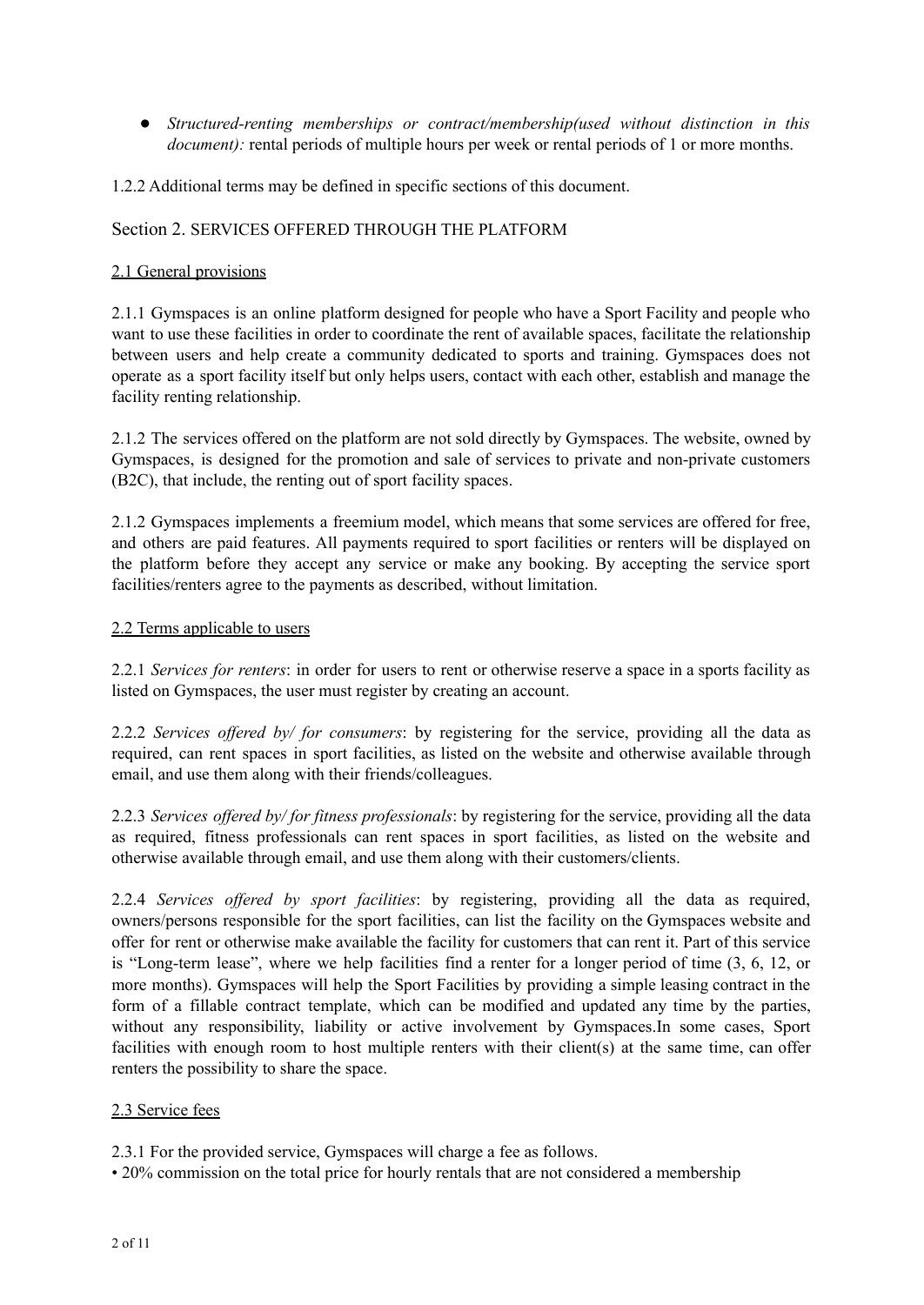*● Structured-renting memberships or contract/membership(used without distinction in this document*): rental periods of multiple hours per week or rental periods of 1 or more months.

1.2.2 Additional terms may be defined in specific sections of this document.

### Section 2. SERVICES OFFERED THROUGH THE PLATFORM

### 2.1 General provisions

2.1.1 Gymspaces is an online platform designed for people who have a Sport Facility and people who want to use these facilities in order to coordinate the rent of available spaces, facilitate the relationship between users and help create a community dedicated to sports and training. Gymspaces does not operate as a sport facility itself but only helps users, contact with each other, establish and manage the facility renting relationship.

2.1.2 The services offered on the platform are not sold directly by Gymspaces. The website, owned by Gymspaces, is designed for the promotion and sale of services to private and non-private customers (B2C), that include, the renting out of sport facility spaces.

2.1.2 Gymspaces implements a freemium model, which means that some services are offered for free, and others are paid features. All payments required to sport facilities or renters will be displayed on the platform before they accept any service or make any booking. By accepting the service sport facilities/renters agree to the payments as described, without limitation.

### 2.2 Terms applicable to users

2.2.1 *Services for renters*: in order for users to rent or otherwise reserve a space in a sports facility as listed on Gymspaces, the user must register by creating an account.

2.2.2 *Services of ered by/ for consumers*: by registering for the service, providing all the data as required, can rent spaces in sport facilities, as listed on the website and otherwise available through email, and use them along with their friends/colleagues.

2.2.3 *Services of ered by/ for fitness professionals*: by registering for the service, providing all the data as required, fitness professionals can rent spaces in sport facilities, as listed on the website and otherwise available through email, and use them along with their customers/clients.

2.2.4 *Services of ered by sport facilities*: by registering, providing all the data as required, owners/persons responsible for the sport facilities, can list the facility on the Gymspaces website and offer for rent or otherwise make available the facility for customers that can rent it. Part of this service is "Long-term lease", where we help facilities find a renter for a longer period of time (3, 6, 12, or more months). Gymspaces will help the Sport Facilities by providing a simple leasing contract in the form of a fillable contract template, which can be modified and updated any time by the parties, without any responsibility, liability or active involvement by Gymspaces.In some cases, Sport facilities with enough room to host multiple renters with their client(s) at the same time, can offer renters the possibility to share the space.

#### 2.3 Service fees

2.3.1 For the provided service, Gymspaces will charge a fee as follows.

• 20% commission on the total price for hourly rentals that are not considered a membership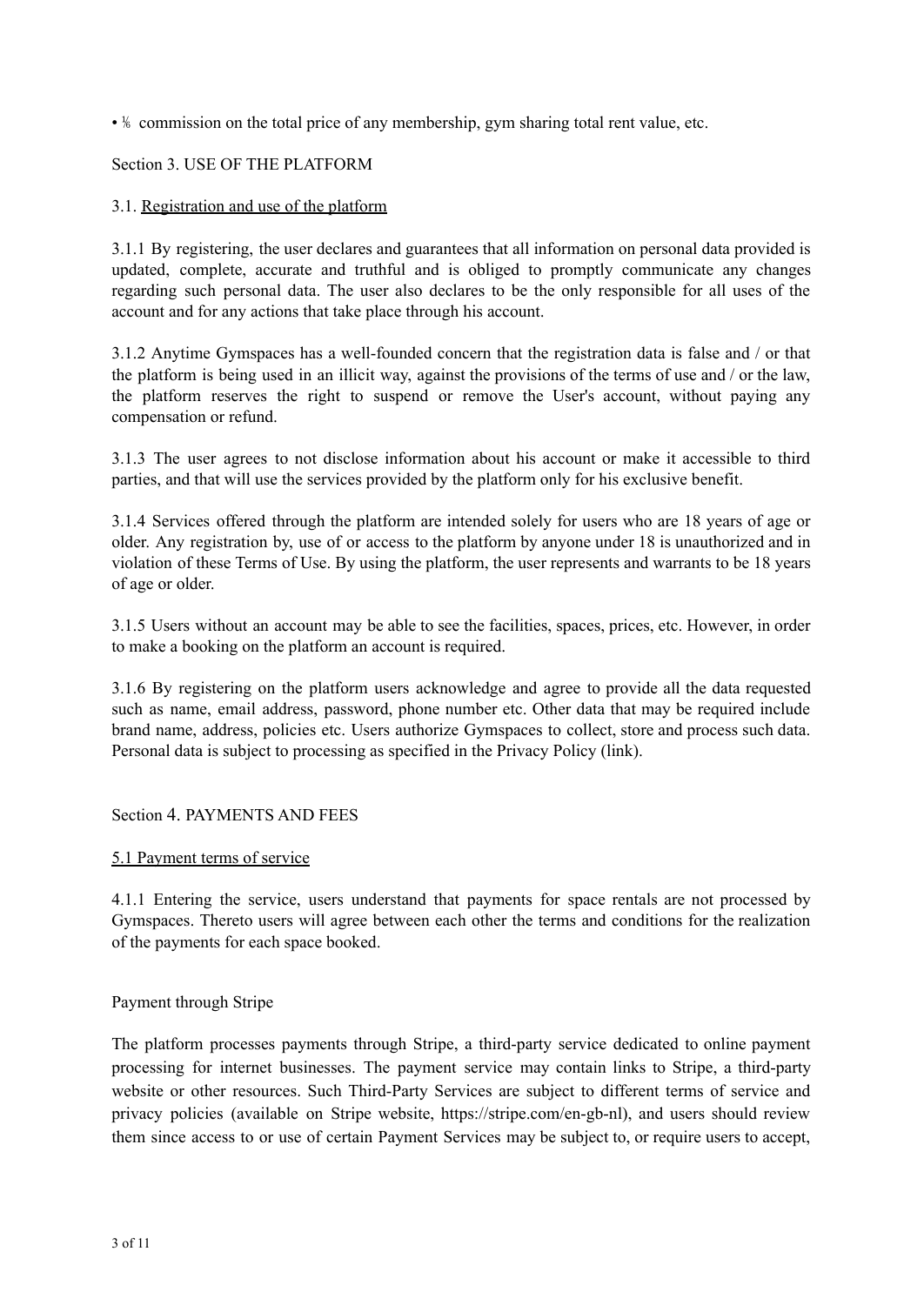$\cdot$  <sup>1</sup>% commission on the total price of any membership, gym sharing total rent value, etc.

### Section 3. USE OF THE PLATFORM

#### 3.1. Registration and use of the platform

3.1.1 By registering, the user declares and guarantees that all information on personal data provided is updated, complete, accurate and truthful and is obliged to promptly communicate any changes regarding such personal data. The user also declares to be the only responsible for all uses of the account and for any actions that take place through his account.

3.1.2 Anytime Gymspaces has a well-founded concern that the registration data is false and / or that the platform is being used in an illicit way, against the provisions of the terms of use and / or the law, the platform reserves the right to suspend or remove the User's account, without paying any compensation or refund.

3.1.3 The user agrees to not disclose information about his account or make it accessible to third parties, and that will use the services provided by the platform only for his exclusive benefit.

3.1.4 Services offered through the platform are intended solely for users who are 18 years of age or older. Any registration by, use of or access to the platform by anyone under 18 is unauthorized and in violation of these Terms of Use. By using the platform, the user represents and warrants to be 18 years of age or older.

3.1.5 Users without an account may be able to see the facilities, spaces, prices, etc. However, in order to make a booking on the platform an account is required.

3.1.6 By registering on the platform users acknowledge and agree to provide all the data requested such as name, email address, password, phone number etc. Other data that may be required include brand name, address, policies etc. Users authorize Gymspaces to collect, store and process such data. Personal data is subject to processing as specified in the Privacy Policy (link).

Section 4. PAYMENTS AND FEES

#### 5.1 Payment terms of service

4.1.1 Entering the service, users understand that payments for space rentals are not processed by Gymspaces. Thereto users will agree between each other the terms and conditions for the realization of the payments for each space booked.

#### Payment through Stripe

The platform processes payments through Stripe, a third-party service dedicated to online payment processing for internet businesses. The payment service may contain links to Stripe, a third-party website or other resources. Such Third-Party Services are subject to different terms of service and privacy policies (available on Stripe website, https://stripe.com/en-gb-nl), and users should review them since access to or use of certain Payment Services may be subject to, or require users to accept,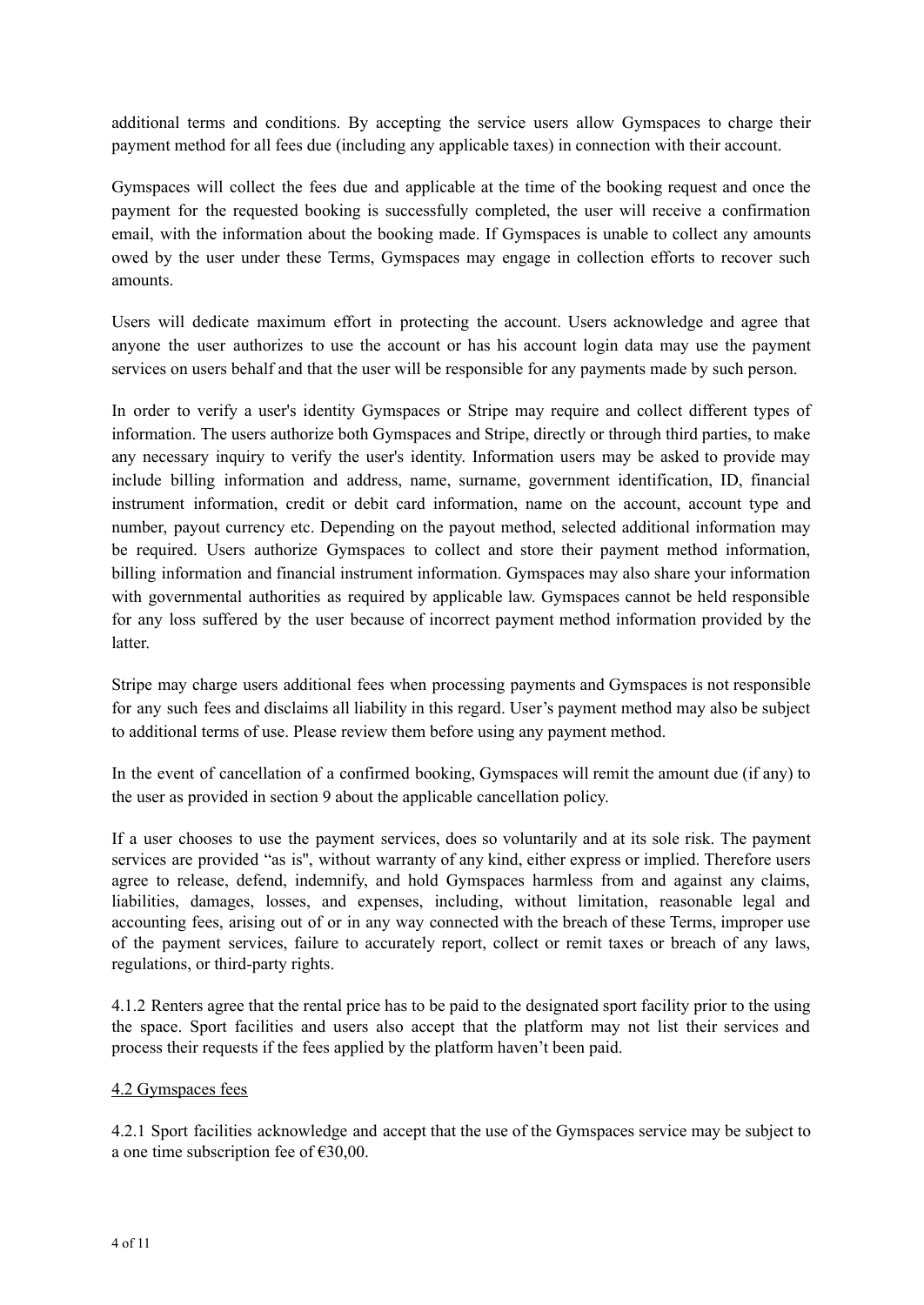additional terms and conditions. By accepting the service users allow Gymspaces to charge their payment method for all fees due (including any applicable taxes) in connection with their account.

Gymspaces will collect the fees due and applicable at the time of the booking request and once the payment for the requested booking is successfully completed, the user will receive a confirmation email, with the information about the booking made. If Gymspaces is unable to collect any amounts owed by the user under these Terms, Gymspaces may engage in collection efforts to recover such amounts.

Users will dedicate maximum effort in protecting the account. Users acknowledge and agree that anyone the user authorizes to use the account or has his account login data may use the payment services on users behalf and that the user will be responsible for any payments made by such person.

In order to verify a user's identity Gymspaces or Stripe may require and collect different types of information. The users authorize both Gymspaces and Stripe, directly or through third parties, to make any necessary inquiry to verify the user's identity. Information users may be asked to provide may include billing information and address, name, surname, government identification, ID, financial instrument information, credit or debit card information, name on the account, account type and number, payout currency etc. Depending on the payout method, selected additional information may be required. Users authorize Gymspaces to collect and store their payment method information, billing information and financial instrument information. Gymspaces may also share your information with governmental authorities as required by applicable law. Gymspaces cannot be held responsible for any loss suffered by the user because of incorrect payment method information provided by the latter.

Stripe may charge users additional fees when processing payments and Gymspaces is not responsible for any such fees and disclaims all liability in this regard. User's payment method may also be subject to additional terms of use. Please review them before using any payment method.

In the event of cancellation of a confirmed booking, Gymspaces will remit the amount due (if any) to the user as provided in section 9 about the applicable cancellation policy.

If a user chooses to use the payment services, does so voluntarily and at its sole risk. The payment services are provided "as is'', without warranty of any kind, either express or implied. Therefore users agree to release, defend, indemnify, and hold Gymspaces harmless from and against any claims, liabilities, damages, losses, and expenses, including, without limitation, reasonable legal and accounting fees, arising out of or in any way connected with the breach of these Terms, improper use of the payment services, failure to accurately report, collect or remit taxes or breach of any laws, regulations, or third-party rights.

4.1.2 Renters agree that the rental price has to be paid to the designated sport facility prior to the using the space. Sport facilities and users also accept that the platform may not list their services and process their requests if the fees applied by the platform haven't been paid.

# 4.2 Gymspaces fees

4.2.1 Sport facilities acknowledge and accept that the use of the Gymspaces service may be subject to a one time subscription fee of €30,00.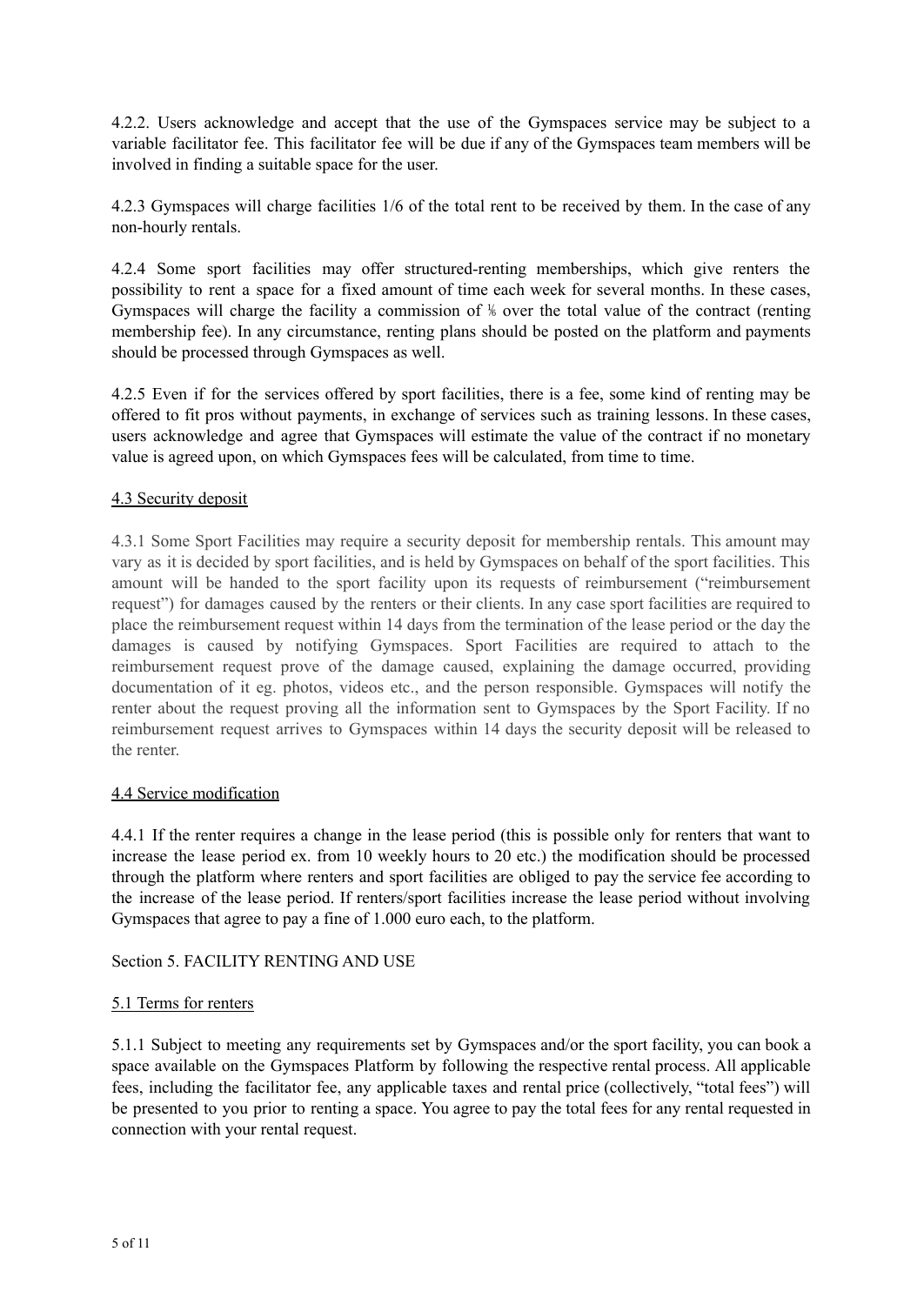4.2.2. Users acknowledge and accept that the use of the Gymspaces service may be subject to a variable facilitator fee. This facilitator fee will be due if any of the Gymspaces team members will be involved in finding a suitable space for the user.

4.2.3 Gymspaces will charge facilities 1/6 of the total rent to be received by them. In the case of any non-hourly rentals.

4.2.4 Some sport facilities may offer structured-renting memberships, which give renters the possibility to rent a space for a fixed amount of time each week for several months. In these cases, Gymspaces will charge the facility a commission of ⅙ over the total value of the contract (renting membership fee). In any circumstance, renting plans should be posted on the platform and payments should be processed through Gymspaces as well.

4.2.5 Even if for the services offered by sport facilities, there is a fee, some kind of renting may be offered to fit pros without payments, in exchange of services such as training lessons. In these cases, users acknowledge and agree that Gymspaces will estimate the value of the contract if no monetary value is agreed upon, on which Gymspaces fees will be calculated, from time to time.

# 4.3 Security deposit

4.3.1 Some Sport Facilities may require a security deposit for membership rentals. This amount may vary as it is decided by sport facilities, and is held by Gymspaces on behalf of the sport facilities. This amount will be handed to the sport facility upon its requests of reimbursement ("reimbursement request") for damages caused by the renters or their clients. In any case sport facilities are required to place the reimbursement request within 14 days from the termination of the lease period or the day the damages is caused by notifying Gymspaces. Sport Facilities are required to attach to the reimbursement request prove of the damage caused, explaining the damage occurred, providing documentation of it eg. photos, videos etc., and the person responsible. Gymspaces will notify the renter about the request proving all the information sent to Gymspaces by the Sport Facility. If no reimbursement request arrives to Gymspaces within 14 days the security deposit will be released to the renter.

#### 4.4 Service modification

4.4.1 If the renter requires a change in the lease period (this is possible only for renters that want to increase the lease period ex. from 10 weekly hours to 20 etc.) the modification should be processed through the platform where renters and sport facilities are obliged to pay the service fee according to the increase of the lease period. If renters/sport facilities increase the lease period without involving Gymspaces that agree to pay a fine of 1.000 euro each, to the platform.

#### Section 5. FACILITY RENTING AND USE

# 5.1 Terms for renters

5.1.1 Subject to meeting any requirements set by Gymspaces and/or the sport facility, you can book a space available on the Gymspaces Platform by following the respective rental process. All applicable fees, including the facilitator fee, any applicable taxes and rental price (collectively, "total fees") will be presented to you prior to renting a space. You agree to pay the total fees for any rental requested in connection with your rental request.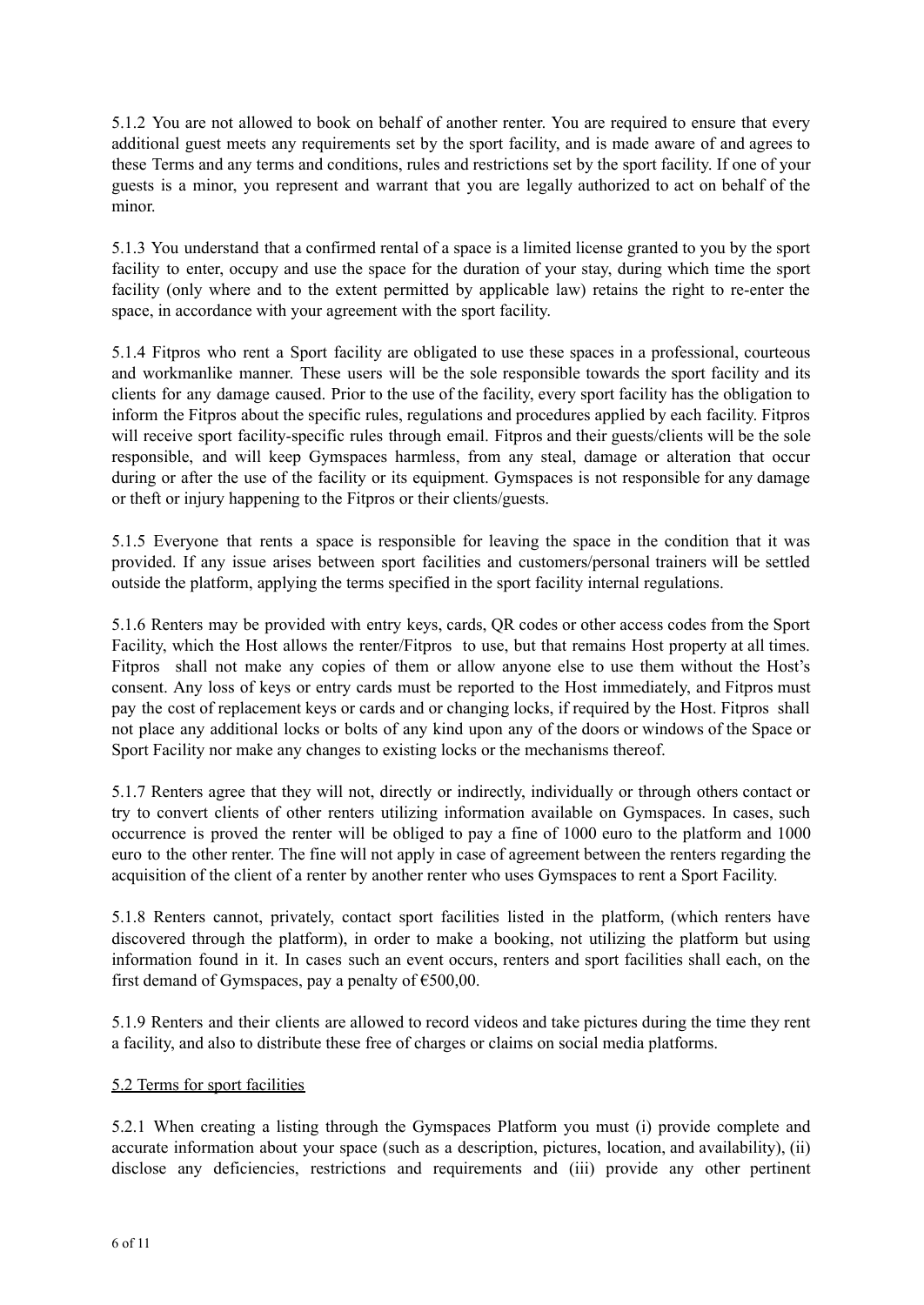5.1.2 You are not allowed to book on behalf of another renter. You are required to ensure that every additional guest meets any requirements set by the sport facility, and is made aware of and agrees to these Terms and any terms and conditions, rules and restrictions set by the sport facility. If one of your guests is a minor, you represent and warrant that you are legally authorized to act on behalf of the minor.

5.1.3 You understand that a confirmed rental of a space is a limited license granted to you by the sport facility to enter, occupy and use the space for the duration of your stay, during which time the sport facility (only where and to the extent permitted by applicable law) retains the right to re-enter the space, in accordance with your agreement with the sport facility.

5.1.4 Fitpros who rent a Sport facility are obligated to use these spaces in a professional, courteous and workmanlike manner. These users will be the sole responsible towards the sport facility and its clients for any damage caused. Prior to the use of the facility, every sport facility has the obligation to inform the Fitpros about the specific rules, regulations and procedures applied by each facility. Fitpros will receive sport facility-specific rules through email. Fitpros and their guests/clients will be the sole responsible, and will keep Gymspaces harmless, from any steal, damage or alteration that occur during or after the use of the facility or its equipment. Gymspaces is not responsible for any damage or theft or injury happening to the Fitpros or their clients/guests.

5.1.5 Everyone that rents a space is responsible for leaving the space in the condition that it was provided. If any issue arises between sport facilities and customers/personal trainers will be settled outside the platform, applying the terms specified in the sport facility internal regulations.

5.1.6 Renters may be provided with entry keys, cards, QR codes or other access codes from the Sport Facility, which the Host allows the renter/Fitpros to use, but that remains Host property at all times. Fitpros shall not make any copies of them or allow anyone else to use them without the Host's consent. Any loss of keys or entry cards must be reported to the Host immediately, and Fitpros must pay the cost of replacement keys or cards and or changing locks, if required by the Host. Fitpros shall not place any additional locks or bolts of any kind upon any of the doors or windows of the Space or Sport Facility nor make any changes to existing locks or the mechanisms thereof.

5.1.7 Renters agree that they will not, directly or indirectly, individually or through others contact or try to convert clients of other renters utilizing information available on Gymspaces. In cases, such occurrence is proved the renter will be obliged to pay a fine of 1000 euro to the platform and 1000 euro to the other renter. The fine will not apply in case of agreement between the renters regarding the acquisition of the client of a renter by another renter who uses Gymspaces to rent a Sport Facility.

5.1.8 Renters cannot, privately, contact sport facilities listed in the platform, (which renters have discovered through the platform), in order to make a booking, not utilizing the platform but using information found in it. In cases such an event occurs, renters and sport facilities shall each, on the first demand of Gymspaces, pay a penalty of  $\epsilon$ 500,00.

5.1.9 Renters and their clients are allowed to record videos and take pictures during the time they rent a facility, and also to distribute these free of charges or claims on social media platforms.

# 5.2 Terms for sport facilities

5.2.1 When creating a listing through the Gymspaces Platform you must (i) provide complete and accurate information about your space (such as a description, pictures, location, and availability), (ii) disclose any deficiencies, restrictions and requirements and (iii) provide any other pertinent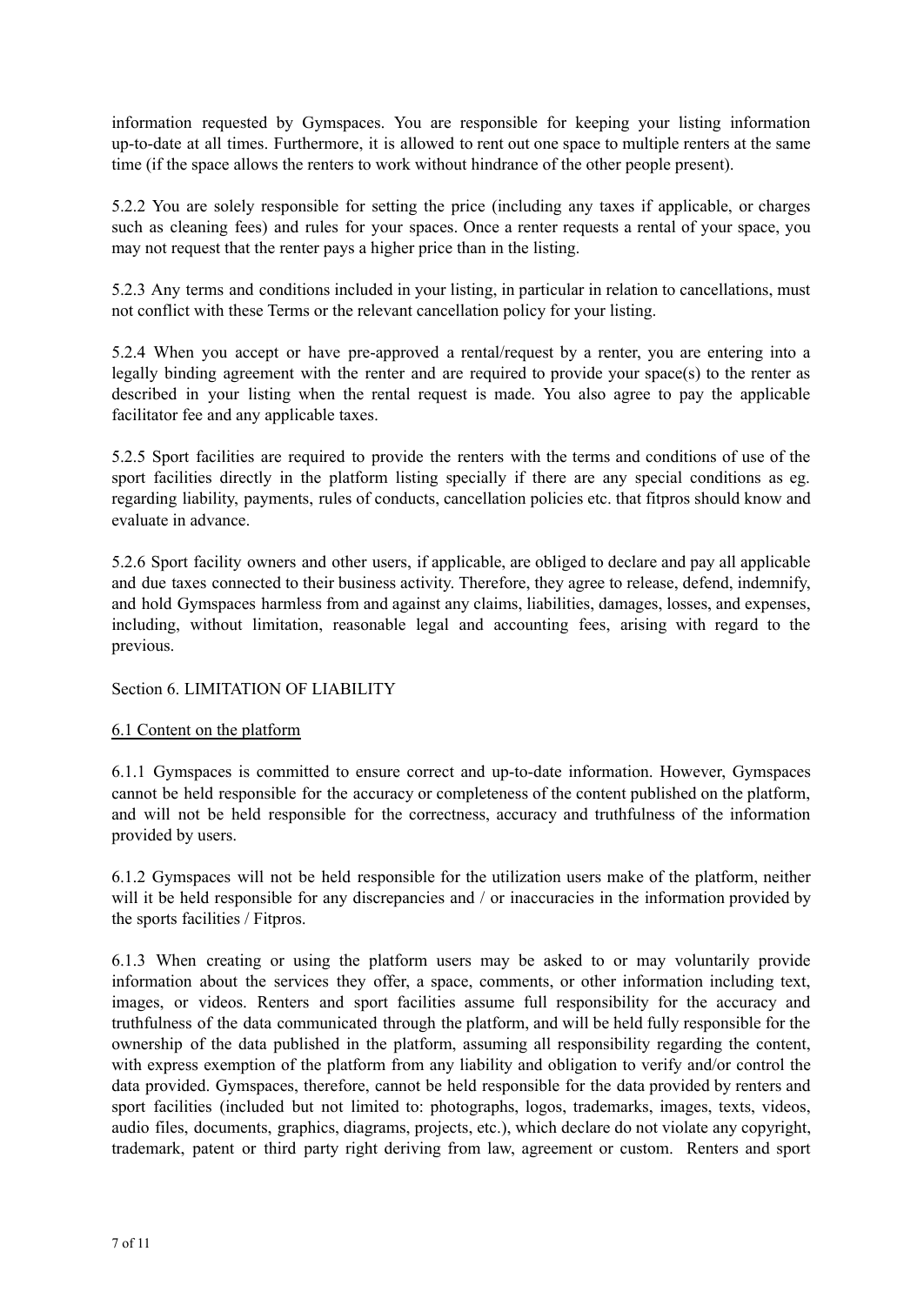information requested by Gymspaces. You are responsible for keeping your listing information up-to-date at all times. Furthermore, it is allowed to rent out one space to multiple renters at the same time (if the space allows the renters to work without hindrance of the other people present).

5.2.2 You are solely responsible for setting the price (including any taxes if applicable, or charges such as cleaning fees) and rules for your spaces. Once a renter requests a rental of your space, you may not request that the renter pays a higher price than in the listing.

5.2.3 Any terms and conditions included in your listing, in particular in relation to cancellations, must not conflict with these Terms or the relevant cancellation policy for your listing.

5.2.4 When you accept or have pre-approved a rental/request by a renter, you are entering into a legally binding agreement with the renter and are required to provide your space(s) to the renter as described in your listing when the rental request is made. You also agree to pay the applicable facilitator fee and any applicable taxes.

5.2.5 Sport facilities are required to provide the renters with the terms and conditions of use of the sport facilities directly in the platform listing specially if there are any special conditions as eg. regarding liability, payments, rules of conducts, cancellation policies etc. that fitpros should know and evaluate in advance.

5.2.6 Sport facility owners and other users, if applicable, are obliged to declare and pay all applicable and due taxes connected to their business activity. Therefore, they agree to release, defend, indemnify, and hold Gymspaces harmless from and against any claims, liabilities, damages, losses, and expenses, including, without limitation, reasonable legal and accounting fees, arising with regard to the previous.

# Section 6. LIMITATION OF LIABILITY

# 6.1 Content on the platform

6.1.1 Gymspaces is committed to ensure correct and up-to-date information. However, Gymspaces cannot be held responsible for the accuracy or completeness of the content published on the platform, and will not be held responsible for the correctness, accuracy and truthfulness of the information provided by users.

6.1.2 Gymspaces will not be held responsible for the utilization users make of the platform, neither will it be held responsible for any discrepancies and / or inaccuracies in the information provided by the sports facilities / Fitpros.

6.1.3 When creating or using the platform users may be asked to or may voluntarily provide information about the services they offer, a space, comments, or other information including text, images, or videos. Renters and sport facilities assume full responsibility for the accuracy and truthfulness of the data communicated through the platform, and will be held fully responsible for the ownership of the data published in the platform, assuming all responsibility regarding the content, with express exemption of the platform from any liability and obligation to verify and/or control the data provided. Gymspaces, therefore, cannot be held responsible for the data provided by renters and sport facilities (included but not limited to: photographs, logos, trademarks, images, texts, videos, audio files, documents, graphics, diagrams, projects, etc.), which declare do not violate any copyright, trademark, patent or third party right deriving from law, agreement or custom. Renters and sport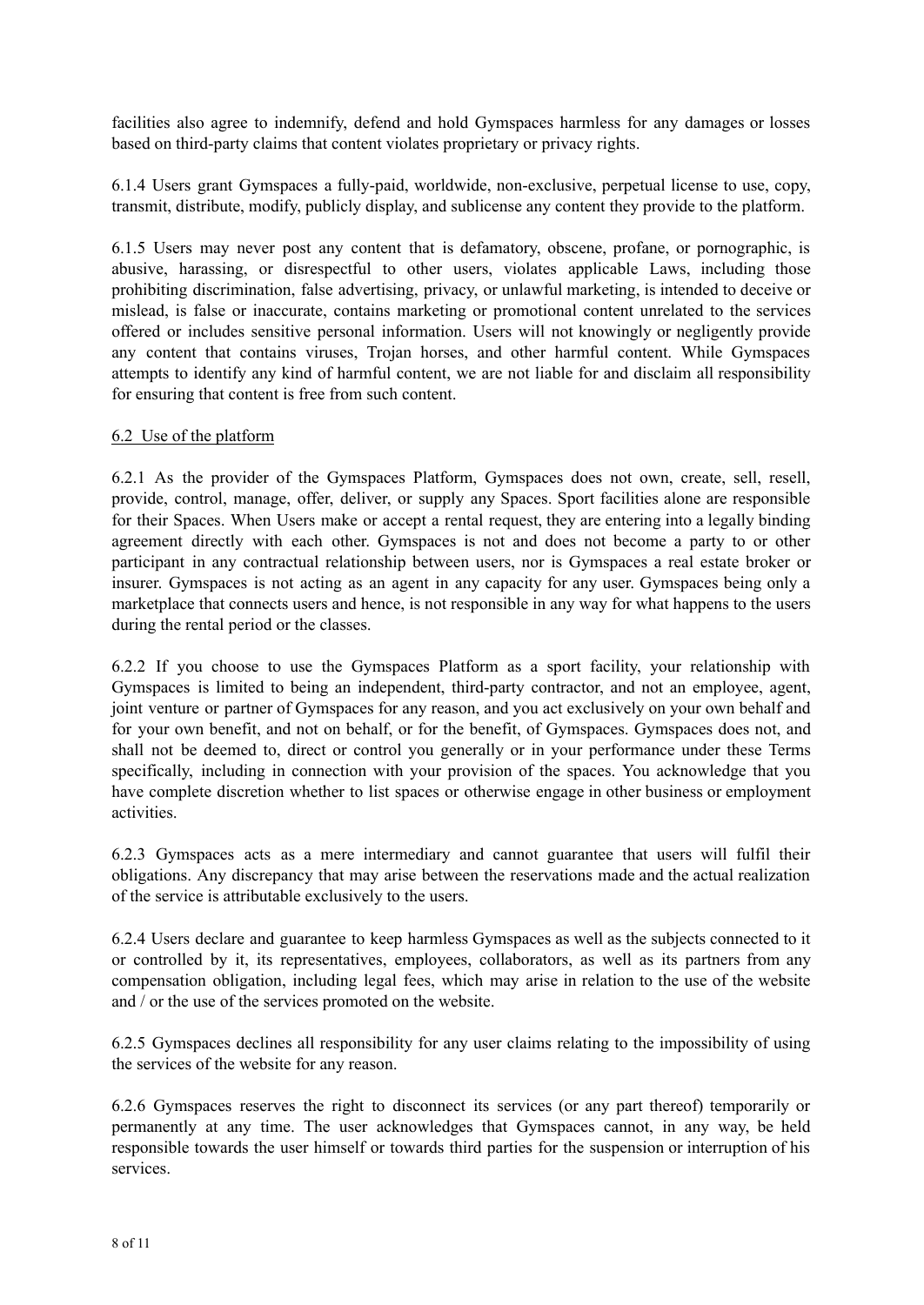facilities also agree to indemnify, defend and hold Gymspaces harmless for any damages or losses based on third-party claims that content violates proprietary or privacy rights.

6.1.4 Users grant Gymspaces a fully-paid, worldwide, non-exclusive, perpetual license to use, copy, transmit, distribute, modify, publicly display, and sublicense any content they provide to the platform.

6.1.5 Users may never post any content that is defamatory, obscene, profane, or pornographic, is abusive, harassing, or disrespectful to other users, violates applicable Laws, including those prohibiting discrimination, false advertising, privacy, or unlawful marketing, is intended to deceive or mislead, is false or inaccurate, contains marketing or promotional content unrelated to the services offered or includes sensitive personal information. Users will not knowingly or negligently provide any content that contains viruses, Trojan horses, and other harmful content. While Gymspaces attempts to identify any kind of harmful content, we are not liable for and disclaim all responsibility for ensuring that content is free from such content.

### 6.2 Use of the platform

6.2.1 As the provider of the Gymspaces Platform, Gymspaces does not own, create, sell, resell, provide, control, manage, offer, deliver, or supply any Spaces. Sport facilities alone are responsible for their Spaces. When Users make or accept a rental request, they are entering into a legally binding agreement directly with each other. Gymspaces is not and does not become a party to or other participant in any contractual relationship between users, nor is Gymspaces a real estate broker or insurer. Gymspaces is not acting as an agent in any capacity for any user. Gymspaces being only a marketplace that connects users and hence, is not responsible in any way for what happens to the users during the rental period or the classes.

6.2.2 If you choose to use the Gymspaces Platform as a sport facility, your relationship with Gymspaces is limited to being an independent, third-party contractor, and not an employee, agent, joint venture or partner of Gymspaces for any reason, and you act exclusively on your own behalf and for your own benefit, and not on behalf, or for the benefit, of Gymspaces. Gymspaces does not, and shall not be deemed to, direct or control you generally or in your performance under these Terms specifically, including in connection with your provision of the spaces. You acknowledge that you have complete discretion whether to list spaces or otherwise engage in other business or employment activities.

6.2.3 Gymspaces acts as a mere intermediary and cannot guarantee that users will fulfil their obligations. Any discrepancy that may arise between the reservations made and the actual realization of the service is attributable exclusively to the users.

6.2.4 Users declare and guarantee to keep harmless Gymspaces as well as the subjects connected to it or controlled by it, its representatives, employees, collaborators, as well as its partners from any compensation obligation, including legal fees, which may arise in relation to the use of the website and / or the use of the services promoted on the website.

6.2.5 Gymspaces declines all responsibility for any user claims relating to the impossibility of using the services of the website for any reason.

6.2.6 Gymspaces reserves the right to disconnect its services (or any part thereof) temporarily or permanently at any time. The user acknowledges that Gymspaces cannot, in any way, be held responsible towards the user himself or towards third parties for the suspension or interruption of his services.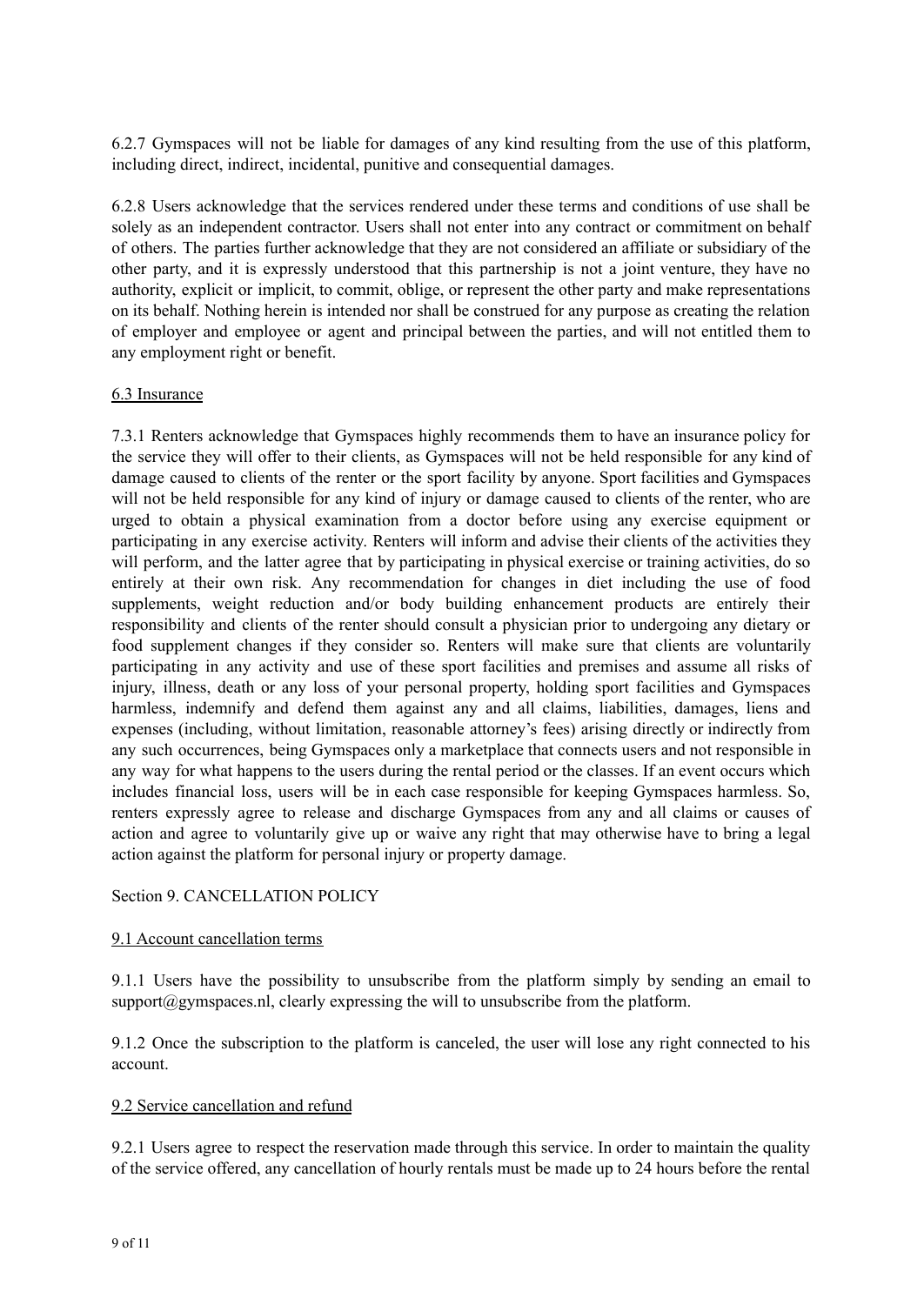6.2.7 Gymspaces will not be liable for damages of any kind resulting from the use of this platform, including direct, indirect, incidental, punitive and consequential damages.

6.2.8 Users acknowledge that the services rendered under these terms and conditions of use shall be solely as an independent contractor. Users shall not enter into any contract or commitment on behalf of others. The parties further acknowledge that they are not considered an affiliate or subsidiary of the other party, and it is expressly understood that this partnership is not a joint venture, they have no authority, explicit or implicit, to commit, oblige, or represent the other party and make representations on its behalf. Nothing herein is intended nor shall be construed for any purpose as creating the relation of employer and employee or agent and principal between the parties, and will not entitled them to any employment right or benefit.

### 6.3 Insurance

7.3.1 Renters acknowledge that Gymspaces highly recommends them to have an insurance policy for the service they will offer to their clients, as Gymspaces will not be held responsible for any kind of damage caused to clients of the renter or the sport facility by anyone. Sport facilities and Gymspaces will not be held responsible for any kind of injury or damage caused to clients of the renter, who are urged to obtain a physical examination from a doctor before using any exercise equipment or participating in any exercise activity. Renters will inform and advise their clients of the activities they will perform, and the latter agree that by participating in physical exercise or training activities, do so entirely at their own risk. Any recommendation for changes in diet including the use of food supplements, weight reduction and/or body building enhancement products are entirely their responsibility and clients of the renter should consult a physician prior to undergoing any dietary or food supplement changes if they consider so. Renters will make sure that clients are voluntarily participating in any activity and use of these sport facilities and premises and assume all risks of injury, illness, death or any loss of your personal property, holding sport facilities and Gymspaces harmless, indemnify and defend them against any and all claims, liabilities, damages, liens and expenses (including, without limitation, reasonable attorney's fees) arising directly or indirectly from any such occurrences, being Gymspaces only a marketplace that connects users and not responsible in any way for what happens to the users during the rental period or the classes. If an event occurs which includes financial loss, users will be in each case responsible for keeping Gymspaces harmless. So, renters expressly agree to release and discharge Gymspaces from any and all claims or causes of action and agree to voluntarily give up or waive any right that may otherwise have to bring a legal action against the platform for personal injury or property damage.

#### Section 9. CANCELLATION POLICY

#### 9.1 Account cancellation terms

9.1.1 Users have the possibility to unsubscribe from the platform simply by sending an email to support $(a)$ gymspaces.nl, clearly expressing the will to unsubscribe from the platform.

9.1.2 Once the subscription to the platform is canceled, the user will lose any right connected to his account.

#### 9.2 Service cancellation and refund

9.2.1 Users agree to respect the reservation made through this service. In order to maintain the quality of the service offered, any cancellation of hourly rentals must be made up to 24 hours before the rental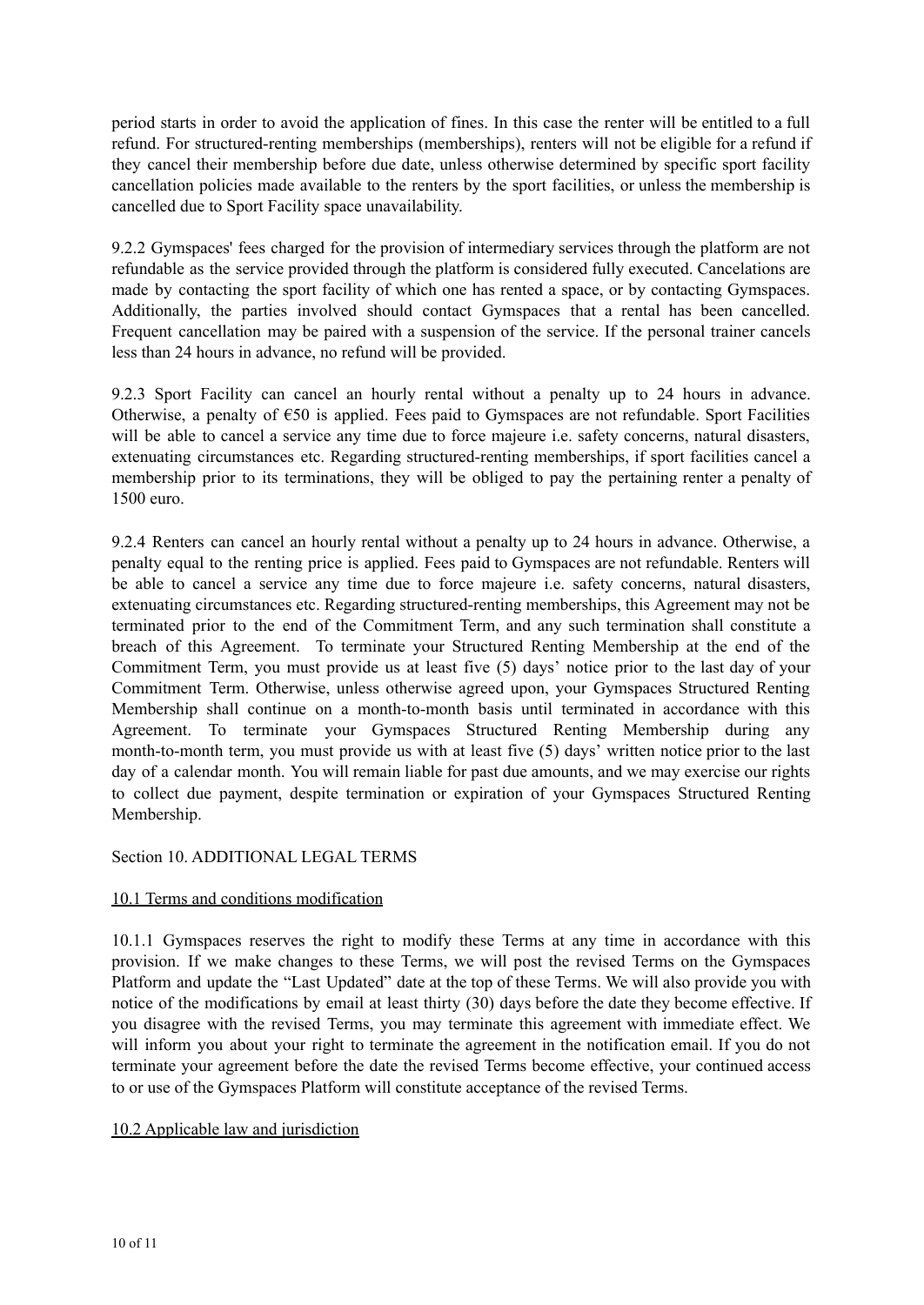period starts in order to avoid the application of fines. In this case the renter will be entitled to a full refund. For structured-renting memberships (memberships), renters will not be eligible for a refund if they cancel their membership before due date, unless otherwise determined by specific sport facility cancellation policies made available to the renters by the sport facilities, or unless the membership is cancelled due to Sport Facility space unavailability.

9.2.2 Gymspaces' fees charged for the provision of intermediary services through the platform are not refundable as the service provided through the platform is considered fully executed. Cancelations are made by contacting the sport facility of which one has rented a space, or by contacting Gymspaces. Additionally, the parties involved should contact Gymspaces that a rental has been cancelled. Frequent cancellation may be paired with a suspension of the service. If the personal trainer cancels less than 24 hours in advance, no refund will be provided.

9.2.3 Sport Facility can cancel an hourly rental without a penalty up to 24 hours in advance. Otherwise, a penalty of €50 is applied. Fees paid to Gymspaces are not refundable. Sport Facilities will be able to cancel a service any time due to force majeure *i.e.* safety concerns, natural disasters, extenuating circumstances etc. Regarding structured-renting memberships, if sport facilities cancel a membership prior to its terminations, they will be obliged to pay the pertaining renter a penalty of 1500 euro.

9.2.4 Renters can cancel an hourly rental without a penalty up to 24 hours in advance. Otherwise, a penalty equal to the renting price is applied. Fees paid to Gymspaces are not refundable. Renters will be able to cancel a service any time due to force majeure i.e. safety concerns, natural disasters, extenuating circumstances etc. Regarding structured-renting memberships, this Agreement may not be terminated prior to the end of the Commitment Term, and any such termination shall constitute a breach of this Agreement. To terminate your Structured Renting Membership at the end of the Commitment Term, you must provide us at least five (5) days' notice prior to the last day of your Commitment Term. Otherwise, unless otherwise agreed upon, your Gymspaces Structured Renting Membership shall continue on a month-to-month basis until terminated in accordance with this Agreement. To terminate your Gymspaces Structured Renting Membership during any month-to-month term, you must provide us with at least five (5) days' written notice prior to the last day of a calendar month. You will remain liable for past due amounts, and we may exercise our rights to collect due payment, despite termination or expiration of your Gymspaces Structured Renting Membership.

Section 10. ADDITIONAL LEGAL TERMS

# 10.1 Terms and conditions modification

10.1.1 Gymspaces reserves the right to modify these Terms at any time in accordance with this provision. If we make changes to these Terms, we will post the revised Terms on the Gymspaces Platform and update the "Last Updated" date at the top of these Terms. We will also provide you with notice of the modifications by email at least thirty (30) days before the date they become effective. If you disagree with the revised Terms, you may terminate this agreement with immediate effect. We will inform you about your right to terminate the agreement in the notification email. If you do not terminate your agreement before the date the revised Terms become effective, your continued access to or use of the Gymspaces Platform will constitute acceptance of the revised Terms.

# 10.2 Applicable law and jurisdiction